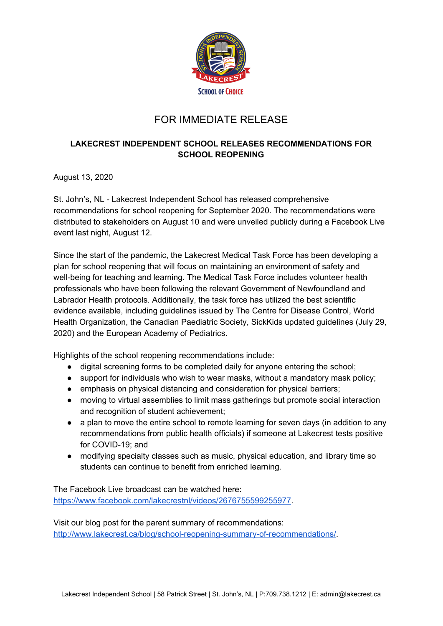

# FOR IMMEDIATE RELEASE

## **LAKECREST INDEPENDENT SCHOOL RELEASES RECOMMENDATIONS FOR SCHOOL REOPENING**

August 13, 2020

St. John's, NL - Lakecrest Independent School has released comprehensive recommendations for school reopening for September 2020. The recommendations were distributed to stakeholders on August 10 and were unveiled publicly during a Facebook Live event last night, August 12.

Since the start of the pandemic, the Lakecrest Medical Task Force has been developing a plan for school reopening that will focus on maintaining an environment of safety and well-being for teaching and learning. The Medical Task Force includes volunteer health professionals who have been following the relevant Government of Newfoundland and Labrador Health protocols. Additionally, the task force has utilized the best scientific evidence available, including guidelines issued by The Centre for Disease Control, World Health Organization, the Canadian Paediatric Society, SickKids updated guidelines (July 29, 2020) and the European Academy of Pediatrics.

Highlights of the school reopening recommendations include:

- digital screening forms to be completed daily for anyone entering the school;
- support for individuals who wish to wear masks, without a mandatory mask policy;
- emphasis on physical distancing and consideration for physical barriers;
- moving to virtual assemblies to limit mass gatherings but promote social interaction and recognition of student achievement;
- a plan to move the entire school to remote learning for seven days (in addition to any recommendations from public health officials) if someone at Lakecrest tests positive for COVID-19; and
- modifying specialty classes such as music, physical education, and library time so students can continue to benefit from enriched learning.

The Facebook Live broadcast can be watched here: [https://www.facebook.com/lakecrestnl/videos/2676755599255977.](https://www.facebook.com/lakecrestnl/videos/2676755599255977)

Visit our blog post for the parent summary of recommendations: [http://www.lakecrest.ca/blog/school-reopening-summary-of-recommendations/.](http://www.lakecrest.ca/blog/school-reopening-summary-of-recommendations/)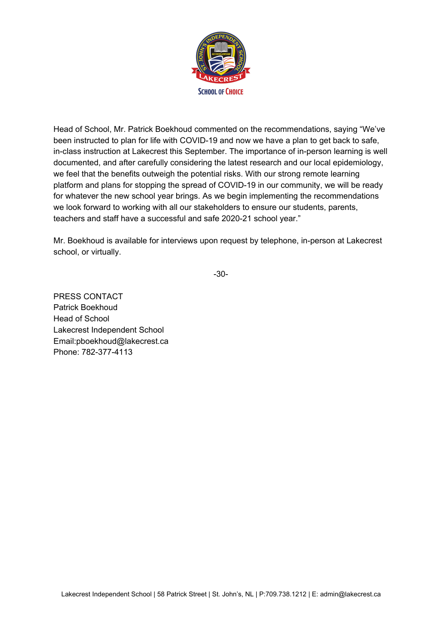

Head of School, Mr. Patrick Boekhoud commented on the recommendations, saying "We've been instructed to plan for life with COVID-19 and now we have a plan to get back to safe, in-class instruction at Lakecrest this September. The importance of in-person learning is well documented, and after carefully considering the latest research and our local epidemiology, we feel that the benefits outweigh the potential risks. With our strong remote learning platform and plans for stopping the spread of COVID-19 in our community, we will be ready for whatever the new school year brings. As we begin implementing the recommendations we look forward to working with all our stakeholders to ensure our students, parents, teachers and staff have a successful and safe 2020-21 school year."

Mr. Boekhoud is available for interviews upon request by telephone, in-person at Lakecrest school, or virtually.

-30-

PRESS CONTACT Patrick Boekhoud Head of School Lakecrest Independent School Email:pboekhoud@lakecrest.ca Phone: 782-377-4113